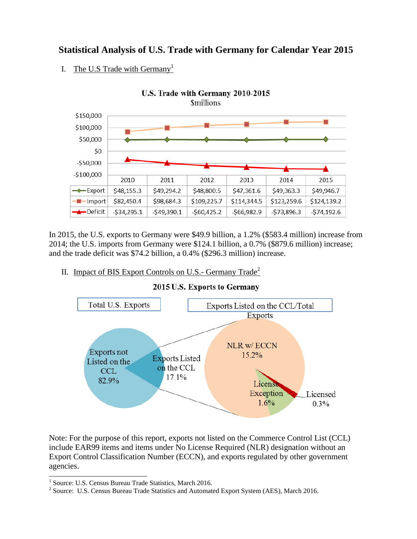## **Statistical Analysis of U.S. Trade with Germany for Calendar Year 2015**

I. The U.S Trade with Germany<sup>1</sup>



In 2015, the U.S. exports to Germany were \$49.9 billion, a 1.2% (\$583.4 million) increase from 2014; the U.S. imports from Germany were \$124.1 billion, a 0.7% (\$879.6 million) increase; and the trade deficit was \$74.2 billion, a 0.4% (\$296.3 million) increase.

II. Impact of BIS Export Controls on U.S.- Germany  $\text{Trace}^2$ 



2015 U.S. Exports to Germany

Note: For the purpose of this report, exports not listed on the Commerce Control List (CCL) include EAR99 items and items under No License Required (NLR) designation without an Export Control Classification Number (ECCN), and exports regulated by other government agencies.

 1 Source: U.S. Census Bureau Trade Statistics, March 2016.

<sup>&</sup>lt;sup>2</sup> Source: U.S. Census Bureau Trade Statistics and Automated Export System (AES), March 2016.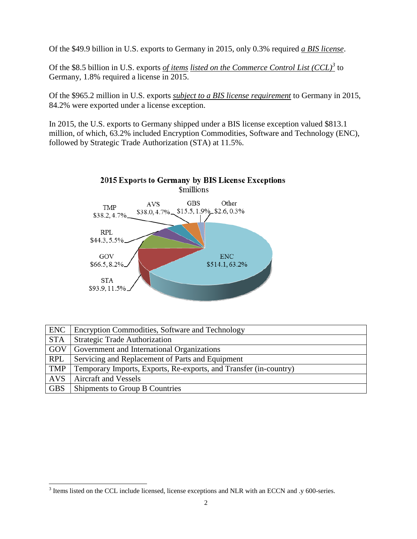Of the \$49.9 billion in U.S. exports to Germany in 2015, only 0.3% required *a BIS license*.

Of the \$8.5 billion in U.S. exports *of items listed on the Commerce Control List (CCL)<sup>3</sup>* to Germany, 1.8% required a license in 2015.

Of the \$965.2 million in U.S. exports *subject to a BIS license requirement* to Germany in 2015, 84.2% were exported under a license exception.

In 2015, the U.S. exports to Germany shipped under a BIS license exception valued \$813.1 million, of which, 63.2% included Encryption Commodities, Software and Technology (ENC), followed by Strategic Trade Authorization (STA) at 11.5%.



| <b>ENC</b> | Encryption Commodities, Software and Technology                   |
|------------|-------------------------------------------------------------------|
| <b>STA</b> | <b>Strategic Trade Authorization</b>                              |
| GOV        | Government and International Organizations                        |
| <b>RPL</b> | Servicing and Replacement of Parts and Equipment                  |
| <b>TMP</b> | Temporary Imports, Exports, Re-exports, and Transfer (in-country) |
| <b>AVS</b> | Aircraft and Vessels                                              |
| <b>GBS</b> | Shipments to Group B Countries                                    |

<sup>&</sup>lt;sup>3</sup> Items listed on the CCL include licensed, license exceptions and NLR with an ECCN and .y 600-series.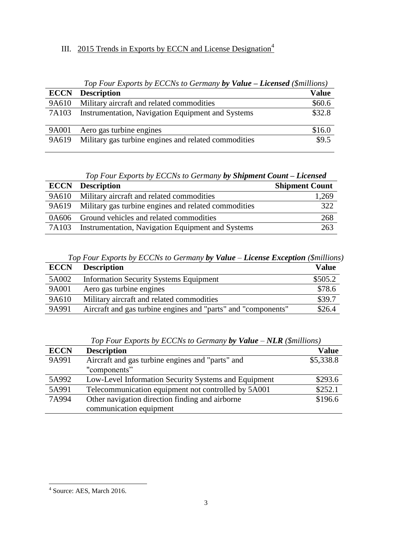## III. 2015 Trends in Exports by ECCN and License Designation<sup>4</sup>

| Top Four Exports by ECCNs to Germany by Value – Licensed (\$millions) |                                                      |              |  |  |  |
|-----------------------------------------------------------------------|------------------------------------------------------|--------------|--|--|--|
|                                                                       | <b>ECCN</b> Description                              | <b>Value</b> |  |  |  |
| 9A610                                                                 | Military aircraft and related commodities            | \$60.6       |  |  |  |
| 7A103                                                                 | Instrumentation, Navigation Equipment and Systems    | \$32.8       |  |  |  |
| 9A001                                                                 | Aero gas turbine engines                             | \$16.0       |  |  |  |
| 9A619                                                                 | Military gas turbine engines and related commodities | \$9.5        |  |  |  |

*Top Four Exports by ECCNs to Germany by Shipment Count – Licensed*

|       | <b>ECCN</b> Description                              | <b>Shipment Count</b> |
|-------|------------------------------------------------------|-----------------------|
| 9A610 | Military aircraft and related commodities            | 1,269                 |
| 9A619 | Military gas turbine engines and related commodities | 322                   |
| 0A606 | Ground vehicles and related commodities              | 268                   |
| 7A103 | Instrumentation, Navigation Equipment and Systems    | 263                   |

*Top Four Exports by ECCNs to Germany by Value – License Exception (\$millions)*

| <b>ECCN</b> | <b>Description</b>                                            | <b>Value</b> |
|-------------|---------------------------------------------------------------|--------------|
| 5A002       | <b>Information Security Systems Equipment</b>                 | \$505.2      |
| 9A001       | Aero gas turbine engines                                      | \$78.6       |
| 9A610       | Military aircraft and related commodities                     | \$39.7       |
| 9A991       | Aircraft and gas turbine engines and "parts" and "components" | \$26.4       |

|             | Top Four Exports by ECCNs to Germany by Value $-NLR$ (Smillions) |              |
|-------------|------------------------------------------------------------------|--------------|
| <b>ECCN</b> | <b>Description</b>                                               | <b>Value</b> |
| 9A991       | Aircraft and gas turbine engines and "parts" and                 | \$5,338.8    |
|             | "components"                                                     |              |
| 5A992       | Low-Level Information Security Systems and Equipment             | \$293.6      |
| 5A991       | Telecommunication equipment not controlled by 5A001              | \$252.1      |
| 7A994       | Other navigation direction finding and airborne                  | \$196.6      |
|             | communication equipment                                          |              |

*Top Four Exports by ECCNs to Germany by Value – NLR (\$millions)*

 4 Source: AES, March 2016.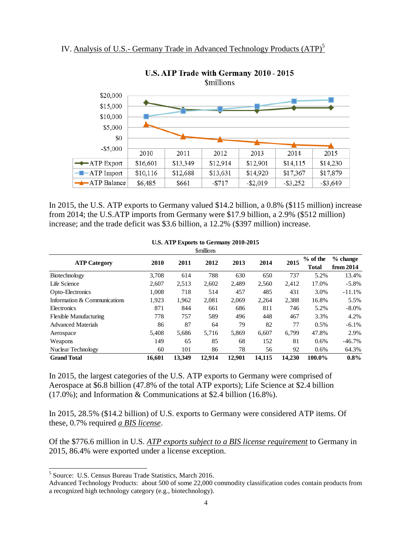

U.S. ATP Trade with Germany 2010 - 2015 *<u>Smillions</u>* 

In 2015, the U.S. ATP exports to Germany valued \$14.2 billion, a 0.8% (\$115 million) increase from 2014; the U.S.ATP imports from Germany were \$17.9 billion, a 2.9% (\$512 million) increase; and the trade deficit was \$3.6 billion, a 12.2% (\$397 million) increase.

| <b>Smillions</b>              |        |        |        |        |        |        |                            |                         |
|-------------------------------|--------|--------|--------|--------|--------|--------|----------------------------|-------------------------|
| <b>ATP Category</b>           | 2010   | 2011   | 2012   | 2013   | 2014   | 2015   | $%$ of the<br><b>Total</b> | $%$ change<br>from 2014 |
| Biotechnology                 | 3.708  | 614    | 788    | 630    | 650    | 737    | 5.2%                       | 13.4%                   |
| Life Science                  | 2,607  | 2,513  | 2,602  | 2,489  | 2,560  | 2,412  | 17.0%                      | $-5.8\%$                |
| Opto-Electronics              | 1.008  | 718    | 514    | 457    | 485    | 431    | 3.0%                       | $-11.1%$                |
| Information & Communications  | 1,923  | 1,962  | 2,081  | 2,069  | 2,264  | 2,388  | 16.8%                      | 5.5%                    |
| Electronics                   | 871    | 844    | 661    | 686    | 811    | 746    | 5.2%                       | $-8.0\%$                |
| <b>Flexible Manufacturing</b> | 778    | 757    | 589    | 496    | 448    | 467    | 3.3%                       | 4.2%                    |
| <b>Advanced Materials</b>     | 86     | 87     | 64     | 79     | 82     | 77     | 0.5%                       | $-6.1%$                 |
| Aerospace                     | 5.408  | 5,686  | 5,716  | 5,869  | 6,607  | 6.799  | 47.8%                      | 2.9%                    |
| Weapons                       | 149    | 65     | 85     | 68     | 152    | 81     | $0.6\%$                    | $-46.7\%$               |
| Nuclear Technology            | 60     | 101    | 86     | 78     | 56     | 92     | $0.6\%$                    | 64.3%                   |
| <b>Grand Total</b>            | 16.601 | 13.349 | 12,914 | 12,901 | 14.115 | 14.230 | 100.0%                     | $0.8\%$                 |

## **U.S. ATP Exports to Germany 2010-2015**

In 2015, the largest categories of the U.S. ATP exports to Germany were comprised of Aerospace at \$6.8 billion (47.8% of the total ATP exports); Life Science at \$2.4 billion  $(17.0\%)$ ; and Information & Communications at \$2.4 billion  $(16.8\%)$ .

In 2015, 28.5% (\$14.2 billion) of U.S. exports to Germany were considered ATP items. Of these, 0.7% required *a BIS license*.

Of the \$776.6 million in U.S. *ATP exports subject to a BIS license requirement* to Germany in 2015, 86.4% were exported under a license exception.

 $\overline{a}$ 

<sup>&</sup>lt;sup>5</sup> Source: U.S. Census Bureau Trade Statistics, March 2016.

Advanced Technology Products: about 500 of some 22,000 commodity classification codes contain products from a recognized high technology category (e.g., biotechnology).